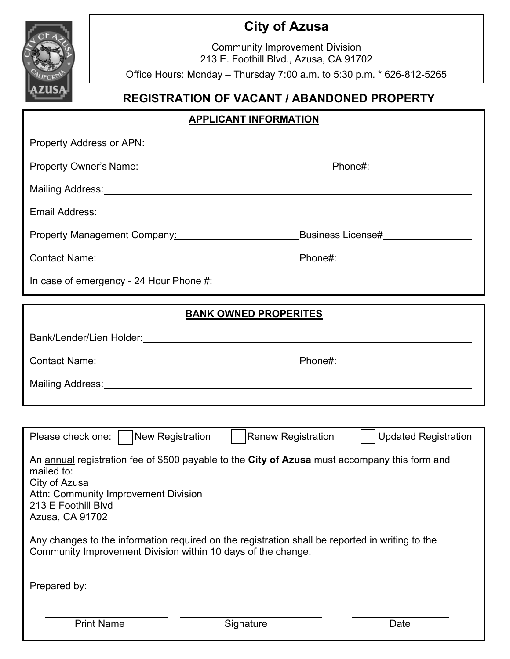# **City of Azusa**

Community Improvement Division 213 E. Foothill Blvd., Azusa, CA 91702

Office Hours: Monday – Thursday 7:00 a.m. to 5:30 p.m. \* 626-812-5265

## **REGISTRATION OF VACANT / ABANDONED PROPERTY**

### **APPLICANT INFORMATION**

| Property Management Company: 2000 2010 2020                                                                                                                                                                    | _Business License#__________________                                                                                                                                                                                          |
|----------------------------------------------------------------------------------------------------------------------------------------------------------------------------------------------------------------|-------------------------------------------------------------------------------------------------------------------------------------------------------------------------------------------------------------------------------|
|                                                                                                                                                                                                                |                                                                                                                                                                                                                               |
| In case of emergency - 24 Hour Phone #: 11 marries 100 matter states and the case of emergency - 24 Hour Phone                                                                                                 |                                                                                                                                                                                                                               |
| <b>BANK OWNED PROPERITES</b>                                                                                                                                                                                   |                                                                                                                                                                                                                               |
|                                                                                                                                                                                                                |                                                                                                                                                                                                                               |
|                                                                                                                                                                                                                | Contact Name: Name: Name and All Contact Name and All Contact Name and All Contact Name and All Contact Name and All Contact Name and All Contact Name and All Contact Name and All Contact Name and All Contact Name and All |
|                                                                                                                                                                                                                |                                                                                                                                                                                                                               |
|                                                                                                                                                                                                                |                                                                                                                                                                                                                               |
| Please check one:     New Registration                                                                                                                                                                         | <b>Renew Registration</b><br><b>Updated Registration</b>                                                                                                                                                                      |
| An annual registration fee of \$500 payable to the City of Azusa must accompany this form and<br>mailed to:<br>City of Azusa<br>Attn: Community Improvement Division<br>213 E Foothill Blvd<br>Azusa, CA 91702 |                                                                                                                                                                                                                               |
| Any changes to the information required on the registration shall be reported in writing to the<br>Community Improvement Division within 10 days of the change.                                                |                                                                                                                                                                                                                               |
| Prepared by:                                                                                                                                                                                                   |                                                                                                                                                                                                                               |
| <b>Print Name</b>                                                                                                                                                                                              | Signature<br>Date                                                                                                                                                                                                             |